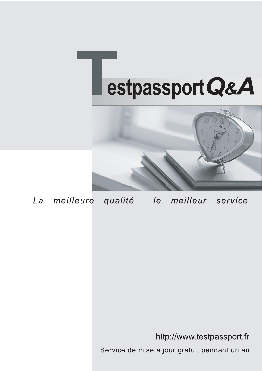



meilleure La qualité  $\overline{e}$ meilleur service

http://www.testpassport.fr

Service de mise à jour gratuit pendant un an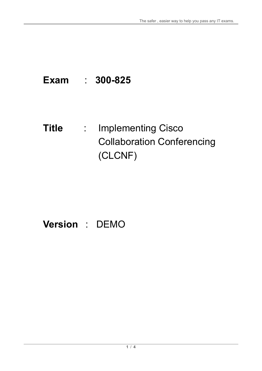# **Exam** : **300-825**

## **Title** : Implementing Cisco Collaboration Conferencing (CLCNF)

# **Version** : DEMO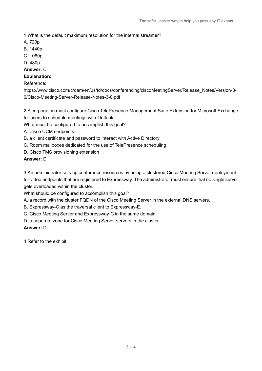1.What is the default maximum resolution for the internal streamer?

- A. 720p
- B. 1440p
- C. 1080p
- D. 480p

#### **Answer:** C

#### **Explanation:**

#### Reference:

https://www.cisco.com/c/dam/en/us/td/docs/conferencing/ciscoMeetingServer/Release\_Notes/Version-3- 0/Cisco-Meeting-Server-Release-Notes-3-0.pdf

2.A corporation must configure Cisco TelePresence Management Suite Extension for Microsoft Exchange for users to schedule meetings with Outlook.

What must be configured to accomplish this goal?

A. Cisco UCM endpoints

- B. a client certificate and password to interact with Active Directory
- C. Room mailboxes dedicated for the use of TelePresence scheduling
- D. Cisco TMS provisioning extension

#### **Answer:** D

3.An administrator sets up conference resources by using a clustered Cisco Meeting Server deployment for video endpoints that are registered to Expressway. The administrator must ensure that no single server gets overloaded within the cluster.

What should be configured to accomplish this goal?

- A. a record with the cluster FQDN of the Cisco Meeting Server in the external DNS servers.
- B. Expressway-C as the traversal client to Expressway-E.
- C. Cisco Meeting Server and Expressway-C in the same domain.
- D. a separate zone for Cisco Meeting Server servers in the cluster.

#### **Answer:** D

4.Refer to the exhibit.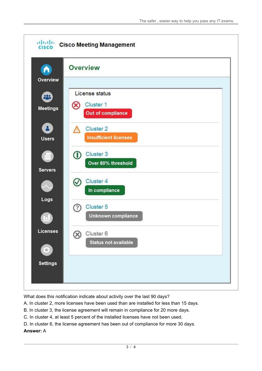

What does this notification indicate about activity over the last 90 days?

- A. In cluster 2, more licenses have been used than are installed for less than 15 days.
- B. In cluster 3, the license agreement will remain in compliance for 20 more days.
- C. In cluster 4, at least 5 percent of the installed licenses have not been used.
- D. In cluster 6, the license agreement has been out of compliance for more 30 days.

#### **Answer:** A